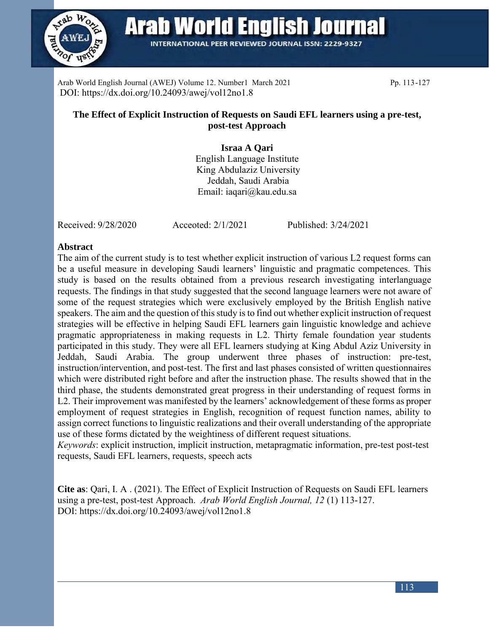

**Arab World English Journal** 

**INTERNATIONAL PEER REVIEWED JOURNAL ISSN: 2229-9327** 

Arab World English Journal (AWEJ) Volume 12. Number1 March 2021 Pp. 113-127 DOI: https://dx.doi.org/10.24093/awej/vol12no1.8

# **The Effect of Explicit Instruction of Requests on Saudi EFL learners using a pre-test, post-test Approach**

# **Israa A Qari**

English Language Institute King Abdulaziz University Jeddah, Saudi Arabia Email: iaqari@kau.edu.sa

Received: 9/28/2020 Acceoted: 2/1/2021 Published: 3/24/2021

### **Abstract**

The aim of the current study is to test whether explicit instruction of various L2 request forms can be a useful measure in developing Saudi learners' linguistic and pragmatic competences. This study is based on the results obtained from a previous research investigating interlanguage requests. The findings in that study suggested that the second language learners were not aware of some of the request strategies which were exclusively employed by the British English native speakers. The aim and the question of this study is to find out whether explicit instruction of request strategies will be effective in helping Saudi EFL learners gain linguistic knowledge and achieve pragmatic appropriateness in making requests in L2. Thirty female foundation year students participated in this study. They were all EFL learners studying at King Abdul Aziz University in Jeddah, Saudi Arabia. The group underwent three phases of instruction: pre-test, instruction/intervention, and post-test. The first and last phases consisted of written questionnaires which were distributed right before and after the instruction phase. The results showed that in the third phase, the students demonstrated great progress in their understanding of request forms in L2. Their improvement was manifested by the learners' acknowledgement of these forms as proper employment of request strategies in English, recognition of request function names, ability to assign correct functions to linguistic realizations and their overall understanding of the appropriate use of these forms dictated by the weightiness of different request situations.

*Keywords*: explicit instruction, implicit instruction, metapragmatic information, pre-test post-test requests, Saudi EFL learners, requests, speech acts

**Cite as**: Qari, I. A . (2021). The Effect of Explicit Instruction of Requests on Saudi EFL learners using a pre-test, post-test Approach. *Arab World English Journal, 12* (1) 113-127. DOI: https://dx.doi.org/10.24093/awej/vol12no1.8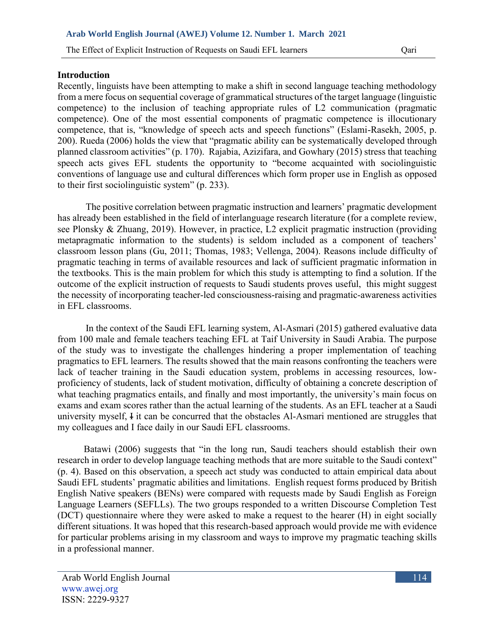The Effect of Explicit Instruction of Requests on Saudi EFL learners Cari

#### **Introduction**

Recently, linguists have been attempting to make a shift in second language teaching methodology from a mere focus on sequential coverage of grammatical structures of the target language (linguistic competence) to the inclusion of teaching appropriate rules of L2 communication (pragmatic competence). One of the most essential components of pragmatic competence is illocutionary competence, that is, "knowledge of speech acts and speech functions" (Eslami-Rasekh, 2005, p. 200). Rueda (2006) holds the view that "pragmatic ability can be systematically developed through planned classroom activities" (p. 170). Rajabia, Azizifara, and Gowhary (2015) stress that teaching speech acts gives EFL students the opportunity to "become acquainted with sociolinguistic conventions of language use and cultural differences which form proper use in English as opposed to their first sociolinguistic system" (p. 233).

The positive correlation between pragmatic instruction and learners' pragmatic development has already been established in the field of interlanguage research literature (for a complete review, see Plonsky & Zhuang, 2019). However, in practice, L2 explicit pragmatic instruction (providing metapragmatic information to the students) is seldom included as a component of teachers' classroom lesson plans (Gu, 2011; Thomas, 1983; Vellenga, 2004). Reasons include difficulty of pragmatic teaching in terms of available resources and lack of sufficient pragmatic information in the textbooks. This is the main problem for which this study is attempting to find a solution. If the outcome of the explicit instruction of requests to Saudi students proves useful, this might suggest the necessity of incorporating teacher-led consciousness-raising and pragmatic-awareness activities in EFL classrooms.

In the context of the Saudi EFL learning system, Al-Asmari (2015) gathered evaluative data from 100 male and female teachers teaching EFL at Taif University in Saudi Arabia. The purpose of the study was to investigate the challenges hindering a proper implementation of teaching pragmatics to EFL learners. The results showed that the main reasons confronting the teachers were lack of teacher training in the Saudi education system, problems in accessing resources, lowproficiency of students, lack of student motivation, difficulty of obtaining a concrete description of what teaching pragmatics entails, and finally and most importantly, the university's main focus on exams and exam scores rather than the actual learning of the students. As an EFL teacher at a Saudi university myself, I it can be concurred that the obstacles Al-Asmari mentioned are struggles that my colleagues and I face daily in our Saudi EFL classrooms.

 Batawi (2006) suggests that "in the long run, Saudi teachers should establish their own research in order to develop language teaching methods that are more suitable to the Saudi context" (p. 4). Based on this observation, a speech act study was conducted to attain empirical data about Saudi EFL students' pragmatic abilities and limitations. English request forms produced by British English Native speakers (BENs) were compared with requests made by Saudi English as Foreign Language Learners (SEFLLs). The two groups responded to a written Discourse Completion Test (DCT) questionnaire where they were asked to make a request to the hearer (H) in eight socially different situations. It was hoped that this research-based approach would provide me with evidence for particular problems arising in my classroom and ways to improve my pragmatic teaching skills in a professional manner.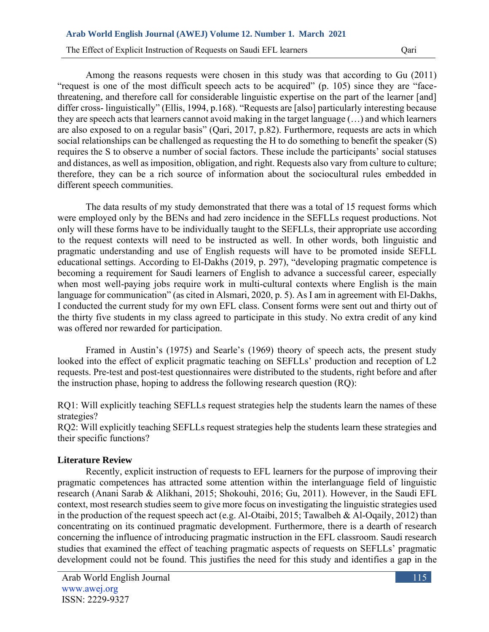The Effect of Explicit Instruction of Requests on Saudi EFL learners Cari

Among the reasons requests were chosen in this study was that according to Gu (2011) "request is one of the most difficult speech acts to be acquired" (p. 105) since they are "facethreatening, and therefore call for considerable linguistic expertise on the part of the learner [and] differ cross- linguistically" (Ellis, 1994, p.168). "Requests are [also] particularly interesting because they are speech acts that learners cannot avoid making in the target language (…) and which learners are also exposed to on a regular basis" (Qari, 2017, p.82). Furthermore, requests are acts in which social relationships can be challenged as requesting the H to do something to benefit the speaker (S) requires the S to observe a number of social factors. These include the participants' social statuses and distances, as well as imposition, obligation, and right. Requests also vary from culture to culture; therefore, they can be a rich source of information about the sociocultural rules embedded in different speech communities.

The data results of my study demonstrated that there was a total of 15 request forms which were employed only by the BENs and had zero incidence in the SEFLLs request productions. Not only will these forms have to be individually taught to the SEFLLs, their appropriate use according to the request contexts will need to be instructed as well. In other words, both linguistic and pragmatic understanding and use of English requests will have to be promoted inside SEFLL educational settings. According to El-Dakhs (2019, p. 297), "developing pragmatic competence is becoming a requirement for Saudi learners of English to advance a successful career, especially when most well-paying jobs require work in multi-cultural contexts where English is the main language for communication" (as cited in Alsmari, 2020, p. 5). As I am in agreement with El-Dakhs, I conducted the current study for my own EFL class. Consent forms were sent out and thirty out of the thirty five students in my class agreed to participate in this study. No extra credit of any kind was offered nor rewarded for participation.

Framed in Austin's (1975) and Searle's (1969) theory of speech acts, the present study looked into the effect of explicit pragmatic teaching on SEFLLs' production and reception of L2 requests. Pre-test and post-test questionnaires were distributed to the students, right before and after the instruction phase, hoping to address the following research question (RQ):

RO1: Will explicitly teaching SEFLLs request strategies help the students learn the names of these strategies?

RQ2: Will explicitly teaching SEFLLs request strategies help the students learn these strategies and their specific functions?

### **Literature Review**

Recently, explicit instruction of requests to EFL learners for the purpose of improving their pragmatic competences has attracted some attention within the interlanguage field of linguistic research (Anani Sarab & Alikhani, 2015; Shokouhi, 2016; Gu, 2011). However, in the Saudi EFL context, most research studies seem to give more focus on investigating the linguistic strategies used in the production of the request speech act (e.g. Al-Otaibi, 2015; Tawalbeh & Al-Oqaily, 2012) than concentrating on its continued pragmatic development. Furthermore, there is a dearth of research concerning the influence of introducing pragmatic instruction in the EFL classroom. Saudi research studies that examined the effect of teaching pragmatic aspects of requests on SEFLLs' pragmatic development could not be found. This justifies the need for this study and identifies a gap in the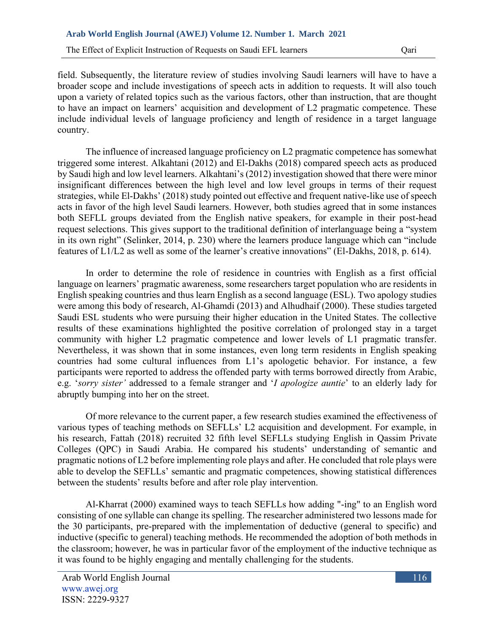The Effect of Explicit Instruction of Requests on Saudi EFL learners Qari

field. Subsequently, the literature review of studies involving Saudi learners will have to have a broader scope and include investigations of speech acts in addition to requests. It will also touch upon a variety of related topics such as the various factors, other than instruction, that are thought to have an impact on learners' acquisition and development of L2 pragmatic competence. These include individual levels of language proficiency and length of residence in a target language country.

The influence of increased language proficiency on L2 pragmatic competence has somewhat triggered some interest. Alkahtani (2012) and El-Dakhs (2018) compared speech acts as produced by Saudi high and low level learners. Alkahtani's (2012) investigation showed that there were minor insignificant differences between the high level and low level groups in terms of their request strategies, while El-Dakhs' (2018) study pointed out effective and frequent native-like use of speech acts in favor of the high level Saudi learners. However, both studies agreed that in some instances both SEFLL groups deviated from the English native speakers, for example in their post-head request selections. This gives support to the traditional definition of interlanguage being a "system in its own right" (Selinker, 2014, p. 230) where the learners produce language which can "include features of L1/L2 as well as some of the learner's creative innovations" (El-Dakhs, 2018, p. 614).

In order to determine the role of residence in countries with English as a first official language on learners' pragmatic awareness, some researchers target population who are residents in English speaking countries and thus learn English as a second language (ESL). Two apology studies were among this body of research, Al-Ghamdi (2013) and Alhudhaif (2000). These studies targeted Saudi ESL students who were pursuing their higher education in the United States. The collective results of these examinations highlighted the positive correlation of prolonged stay in a target community with higher L2 pragmatic competence and lower levels of L1 pragmatic transfer. Nevertheless, it was shown that in some instances, even long term residents in English speaking countries had some cultural influences from L1's apologetic behavior. For instance, a few participants were reported to address the offended party with terms borrowed directly from Arabic, e.g. '*sorry sister'* addressed to a female stranger and '*I apologize auntie*' to an elderly lady for abruptly bumping into her on the street.

Of more relevance to the current paper, a few research studies examined the effectiveness of various types of teaching methods on SEFLLs' L2 acquisition and development. For example, in his research, Fattah (2018) recruited 32 fifth level SEFLLs studying English in Qassim Private Colleges (QPC) in Saudi Arabia. He compared his students' understanding of semantic and pragmatic notions of L2 before implementing role plays and after. He concluded that role plays were able to develop the SEFLLs' semantic and pragmatic competences, showing statistical differences between the students' results before and after role play intervention.

Al-Kharrat (2000) examined ways to teach SEFLLs how adding "-ing" to an English word consisting of one syllable can change its spelling. The researcher administered two lessons made for the 30 participants, pre-prepared with the implementation of deductive (general to specific) and inductive (specific to general) teaching methods. He recommended the adoption of both methods in the classroom; however, he was in particular favor of the employment of the inductive technique as it was found to be highly engaging and mentally challenging for the students.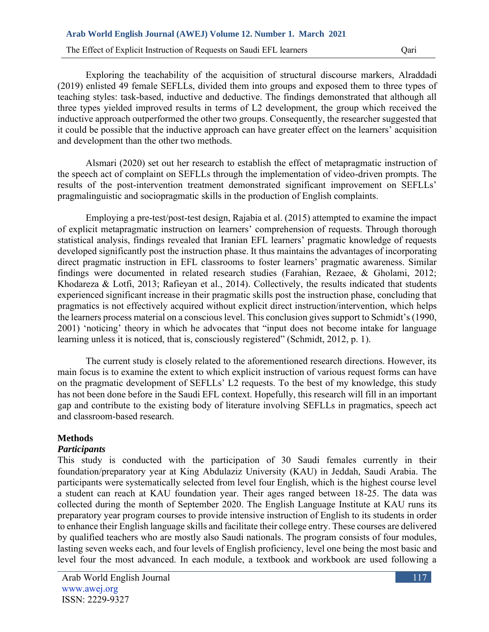The Effect of Explicit Instruction of Requests on Saudi EFL learners Cari

Exploring the teachability of the acquisition of structural discourse markers, Alraddadi (2019) enlisted 49 female SEFLLs, divided them into groups and exposed them to three types of teaching styles: task-based, inductive and deductive. The findings demonstrated that although all three types yielded improved results in terms of L2 development, the group which received the inductive approach outperformed the other two groups. Consequently, the researcher suggested that it could be possible that the inductive approach can have greater effect on the learners' acquisition and development than the other two methods.

Alsmari (2020) set out her research to establish the effect of metapragmatic instruction of the speech act of complaint on SEFLLs through the implementation of video-driven prompts. The results of the post-intervention treatment demonstrated significant improvement on SEFLLs' pragmalinguistic and sociopragmatic skills in the production of English complaints.

Employing a pre-test/post-test design, Rajabia et al. (2015) attempted to examine the impact of explicit metapragmatic instruction on learners' comprehension of requests. Through thorough statistical analysis, findings revealed that Iranian EFL learners' pragmatic knowledge of requests developed significantly post the instruction phase. It thus maintains the advantages of incorporating direct pragmatic instruction in EFL classrooms to foster learners' pragmatic awareness. Similar findings were documented in related research studies (Farahian, Rezaee, & Gholami, 2012; Khodareza & Lotfi, 2013; Rafieyan et al., 2014). Collectively, the results indicated that students experienced significant increase in their pragmatic skills post the instruction phase, concluding that pragmatics is not effectively acquired without explicit direct instruction/intervention, which helps the learners process material on a conscious level. This conclusion gives support to Schmidt's (1990, 2001) 'noticing' theory in which he advocates that "input does not become intake for language learning unless it is noticed, that is, consciously registered" (Schmidt, 2012, p. 1).

The current study is closely related to the aforementioned research directions. However, its main focus is to examine the extent to which explicit instruction of various request forms can have on the pragmatic development of SEFLLs' L2 requests. To the best of my knowledge, this study has not been done before in the Saudi EFL context. Hopefully, this research will fill in an important gap and contribute to the existing body of literature involving SEFLLs in pragmatics, speech act and classroom-based research.

## **Methods**

### *Participants*

This study is conducted with the participation of 30 Saudi females currently in their foundation/preparatory year at King Abdulaziz University (KAU) in Jeddah, Saudi Arabia. The participants were systematically selected from level four English, which is the highest course level a student can reach at KAU foundation year. Their ages ranged between 18-25. The data was collected during the month of September 2020. The English Language Institute at KAU runs its preparatory year program courses to provide intensive instruction of English to its students in order to enhance their English language skills and facilitate their college entry. These courses are delivered by qualified teachers who are mostly also Saudi nationals. The program consists of four modules, lasting seven weeks each, and four levels of English proficiency, level one being the most basic and level four the most advanced. In each module, a textbook and workbook are used following a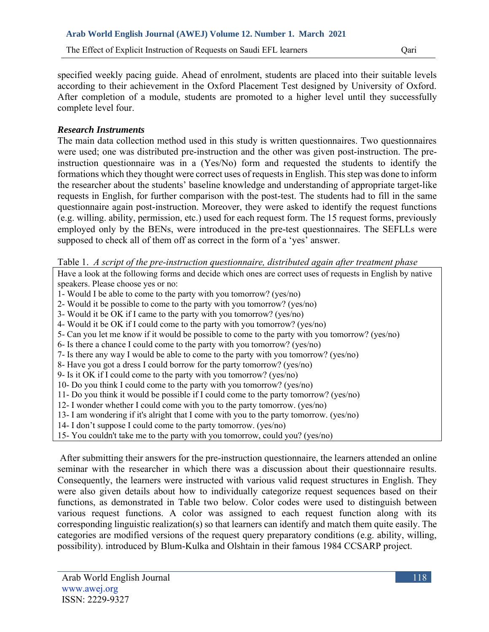The Effect of Explicit Instruction of Requests on Saudi EFL learners Qari

specified weekly pacing guide. Ahead of enrolment, students are placed into their suitable levels according to their achievement in the Oxford Placement Test designed by University of Oxford. After completion of a module, students are promoted to a higher level until they successfully complete level four.

# *Research Instruments*

The main data collection method used in this study is written questionnaires. Two questionnaires were used; one was distributed pre-instruction and the other was given post-instruction. The preinstruction questionnaire was in a (Yes/No) form and requested the students to identify the formations which they thought were correct uses of requests in English. This step was done to inform the researcher about the students' baseline knowledge and understanding of appropriate target-like requests in English, for further comparison with the post-test. The students had to fill in the same questionnaire again post-instruction. Moreover, they were asked to identify the request functions (e.g. willing. ability, permission, etc.) used for each request form. The 15 request forms, previously employed only by the BENs, were introduced in the pre-test questionnaires. The SEFLLs were supposed to check all of them off as correct in the form of a 'yes' answer.

Table 1. *A script of the pre-instruction questionnaire, distributed again after treatment phase*

Have a look at the following forms and decide which ones are correct uses of requests in English by native speakers. Please choose yes or no:

- 1- Would I be able to come to the party with you tomorrow? (yes/no)
- 2- Would it be possible to come to the party with you tomorrow? (yes/no)
- 3- Would it be OK if I came to the party with you tomorrow? (yes/no)
- 4- Would it be OK if I could come to the party with you tomorrow? (yes/no)
- 5- Can you let me know if it would be possible to come to the party with you tomorrow? (yes/no)
- 6- Is there a chance I could come to the party with you tomorrow? (yes/no)
- 7- Is there any way I would be able to come to the party with you tomorrow? (yes/no)
- 8- Have you got a dress I could borrow for the party tomorrow? (yes/no)
- 9- Is it OK if I could come to the party with you tomorrow? (yes/no)
- 10- Do you think I could come to the party with you tomorrow? (yes/no)
- 11- Do you think it would be possible if I could come to the party tomorrow? (yes/no)
- 12- I wonder whether I could come with you to the party tomorrow. (yes/no)
- 13- I am wondering if it's alright that I come with you to the party tomorrow. (yes/no)
- 14- I don't suppose I could come to the party tomorrow. (yes/no)
- 15- You couldn't take me to the party with you tomorrow, could you? (yes/no)

After submitting their answers for the pre-instruction questionnaire, the learners attended an online seminar with the researcher in which there was a discussion about their questionnaire results. Consequently, the learners were instructed with various valid request structures in English. They were also given details about how to individually categorize request sequences based on their functions, as demonstrated in Table two below. Color codes were used to distinguish between various request functions. A color was assigned to each request function along with its corresponding linguistic realization(s) so that learners can identify and match them quite easily. The categories are modified versions of the request query preparatory conditions (e.g. ability, willing, possibility). introduced by Blum-Kulka and Olshtain in their famous 1984 CCSARP project.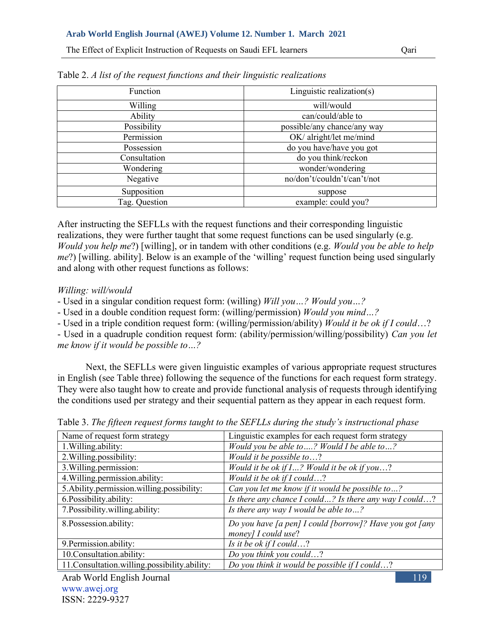The Effect of Explicit Instruction of Requests on Saudi EFL learners Qari

| Function      | Linguistic realization(s)   |
|---------------|-----------------------------|
| Willing       | will/would                  |
| Ability       | can/could/able to           |
| Possibility   | possible/any chance/any way |
| Permission    | OK/alright/let me/mind      |
| Possession    | do you have/have you got    |
| Consultation  | do you think/reckon         |
| Wondering     | wonder/wondering            |
| Negative      | no/don't/couldn't/can't/not |
| Supposition   | suppose                     |
| Tag. Question | example: could you?         |

Table 2. *A list of the request functions and their linguistic realizations*

After instructing the SEFLLs with the request functions and their corresponding linguistic realizations, they were further taught that some request functions can be used singularly (e.g. *Would you help me*?) [willing], or in tandem with other conditions (e.g. *Would you be able to help me*?) [willing. ability]. Below is an example of the 'willing' request function being used singularly and along with other request functions as follows:

### *Willing: will/would*

- Used in a singular condition request form: (willing) *Will you…? Would you…?*

- Used in a double condition request form: (willing/permission) *Would you mind…?*

- Used in a triple condition request form: (willing/permission/ability) *Would it be ok if I could*…?

- Used in a quadruple condition request form: (ability/permission/willing/possibility) *Can you let me know if it would be possible to…?*

Next, the SEFLLs were given linguistic examples of various appropriate request structures in English (see Table three) following the sequence of the functions for each request form strategy. They were also taught how to create and provide functional analysis of requests through identifying the conditions used per strategy and their sequential pattern as they appear in each request form.

| Name of request form strategy                    | Linguistic examples for each request form strategy      |
|--------------------------------------------------|---------------------------------------------------------|
| 1. Willing ability:                              | Would you be able to ? Would I be able to ?             |
| 2. Willing.possibility:                          | Would it be possible to?                                |
| 3. Willing.permission:                           | Would it be ok if $I$ ? Would it be ok if you?          |
| 4. Willing. permission. ability:                 | Would it be ok if $I$ could?                            |
| 5. Ability.permission.willing.possibility:       | Can you let me know if it would be possible to?         |
| 6. Possibility. ability:                         | Is there any chance I could? Is there any way I could?  |
| 7. Possibility.willing.ability:                  | Is there any way I would be able to?                    |
| 8. Possession. ability:                          | Do you have [a pen] I could [borrow]? Have you got [any |
|                                                  | money] I could use?                                     |
| 9. Permission.ability:                           | Is it be ok if $I$ could?                               |
| 10. Consultation. ability:                       | Do you think you could?                                 |
| 11. Consultation. willing. possibility. ability: | Do you think it would be possible if I could?           |

Table 3. *The fifteen request forms taught to the SEFLLs during the study's instructional phase*

Arab World English Journal www.awej.org ISSN: 2229-9327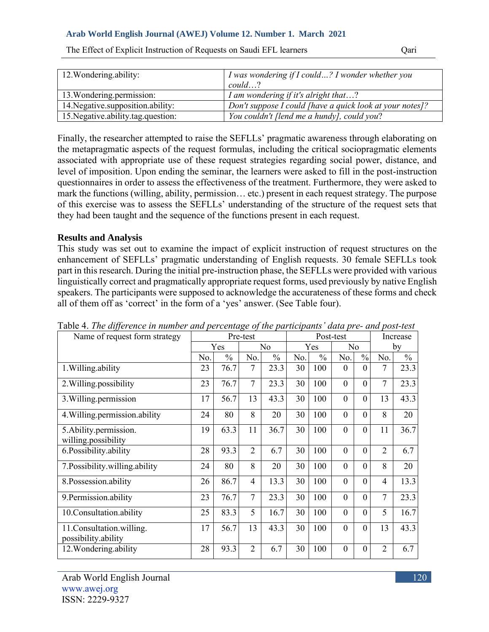| 12. Wondering ability:             | I was wondering if I could? I wonder whether you         |
|------------------------------------|----------------------------------------------------------|
|                                    | $could \dots ?$                                          |
| 13. Wondering. permission:         | I am wondering if it's alright that?                     |
| 14. Negative.supposition.ability:  | Don't suppose I could [have a quick look at your notes]? |
| 15. Negative ability tag question: | You couldn't flend me a hundy, could you?                |

The Effect of Explicit Instruction of Requests on Saudi EFL learners Qari

Finally, the researcher attempted to raise the SEFLLs' pragmatic awareness through elaborating on the metapragmatic aspects of the request formulas, including the critical sociopragmatic elements associated with appropriate use of these request strategies regarding social power, distance, and level of imposition. Upon ending the seminar, the learners were asked to fill in the post-instruction questionnaires in order to assess the effectiveness of the treatment. Furthermore, they were asked to mark the functions (willing, ability, permission… etc.) present in each request strategy. The purpose of this exercise was to assess the SEFLLs' understanding of the structure of the request sets that they had been taught and the sequence of the functions present in each request.

### **Results and Analysis**

This study was set out to examine the impact of explicit instruction of request structures on the enhancement of SEFLLs' pragmatic understanding of English requests. 30 female SEFLLs took part in this research. During the initial pre-instruction phase, the SEFLLs were provided with various linguistically correct and pragmatically appropriate request forms, used previously by native English speakers. The participants were supposed to acknowledge the accurateness of these forms and check all of them off as 'correct' in the form of a 'yes' answer. (See Table four).

| Tubic +. The agjerence in humber and percentage of the participants "data pre- and post test<br>Name of request form strategy | Pre-test |               |                |               |     | Post-test     | Increase       |                |                |               |
|-------------------------------------------------------------------------------------------------------------------------------|----------|---------------|----------------|---------------|-----|---------------|----------------|----------------|----------------|---------------|
|                                                                                                                               |          | Yes           | N <sub>o</sub> |               | Yes |               | N <sub>o</sub> |                | by             |               |
|                                                                                                                               | No.      | $\frac{0}{0}$ | No.            | $\frac{0}{0}$ | No. | $\frac{0}{0}$ | No.            | $\frac{0}{0}$  | No.            | $\frac{0}{0}$ |
| 1. Willing.ability                                                                                                            | 23       | 76.7          | 7              | 23.3          | 30  | 100           | $\Omega$       | $\theta$       | 7              | 23.3          |
| 2. Willing.possibility                                                                                                        | 23       | 76.7          | 7              | 23.3          | 30  | 100           | $\mathbf{0}$   | $\overline{0}$ | $\overline{7}$ | 23.3          |
| 3. Willing.permission                                                                                                         | 17       | 56.7          | 13             | 43.3          | 30  | 100           | $\overline{0}$ | $\overline{0}$ | 13             | 43.3          |
| 4. Willing.permission.ability                                                                                                 | 24       | 80            | 8              | 20            | 30  | 100           | $\mathbf{0}$   | $\overline{0}$ | 8              | 20            |
| 5. Ability.permission.<br>willing.possibility                                                                                 | 19       | 63.3          | 11             | 36.7          | 30  | 100           | $\overline{0}$ | $\overline{0}$ | 11             | 36.7          |
| 6. Possibility. ability                                                                                                       | 28       | 93.3          | $\overline{2}$ | 6.7           | 30  | 100           | $\mathbf{0}$   | $\overline{0}$ | $\overline{2}$ | 6.7           |
| 7. Possibility.willing.ability                                                                                                | 24       | 80            | 8              | 20            | 30  | 100           | $\Omega$       | $\Omega$       | 8              | 20            |
| 8.Possession.ability                                                                                                          | 26       | 86.7          | 4              | 13.3          | 30  | 100           | $\mathbf{0}$   | $\theta$       | $\overline{4}$ | 13.3          |
| 9. Permission. ability                                                                                                        | 23       | 76.7          | $\overline{7}$ | 23.3          | 30  | 100           | $\theta$       | $\theta$       | $\overline{7}$ | 23.3          |
| 10.Consultation.ability                                                                                                       | 25       | 83.3          | 5              | 16.7          | 30  | 100           | $\theta$       | $\theta$       | 5              | 16.7          |
| 11. Consultation. willing.<br>possibility.ability                                                                             | 17       | 56.7          | 13             | 43.3          | 30  | 100           | $\mathbf{0}$   | $\overline{0}$ | 13             | 43.3          |
| 12. Wondering.ability                                                                                                         | 28       | 93.3          | $\overline{2}$ | 6.7           | 30  | 100           | $\mathbf{0}$   | $\overline{0}$ | $\overline{2}$ | 6.7           |

Table 4. *The difference in number and percentage of the participants' data pre- and post-test*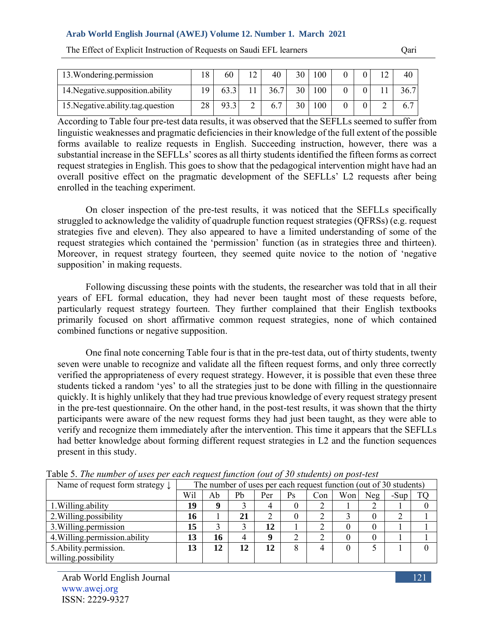| 13. Wondering permission            |    | 60   | $12^{\circ}$ | 40   | 30 | 100 |  | 1 ^ |  |
|-------------------------------------|----|------|--------------|------|----|-----|--|-----|--|
| 14. Negative supposition ability    |    | 63.3 |              | 36.7 | 30 | 100 |  |     |  |
| 15. Negative. ability.tag. question | 28 | 93.3 |              |      | 30 | 100 |  |     |  |

The Effect of Explicit Instruction of Requests on Saudi EFL learners Cari

According to Table four pre-test data results, it was observed that the SEFLLs seemed to suffer from linguistic weaknesses and pragmatic deficiencies in their knowledge of the full extent of the possible forms available to realize requests in English. Succeeding instruction, however, there was a substantial increase in the SEFLLs' scores as all thirty students identified the fifteen forms as correct request strategies in English. This goes to show that the pedagogical intervention might have had an overall positive effect on the pragmatic development of the SEFLLs' L2 requests after being enrolled in the teaching experiment.

On closer inspection of the pre-test results, it was noticed that the SEFLLs specifically struggled to acknowledge the validity of quadruple function request strategies (QFRSs) (e.g. request strategies five and eleven). They also appeared to have a limited understanding of some of the request strategies which contained the 'permission' function (as in strategies three and thirteen). Moreover, in request strategy fourteen, they seemed quite novice to the notion of 'negative supposition' in making requests.

Following discussing these points with the students, the researcher was told that in all their years of EFL formal education, they had never been taught most of these requests before, particularly request strategy fourteen. They further complained that their English textbooks primarily focused on short affirmative common request strategies, none of which contained combined functions or negative supposition.

One final note concerning Table four is that in the pre-test data, out of thirty students, twenty seven were unable to recognize and validate all the fifteen request forms, and only three correctly verified the appropriateness of every request strategy. However, it is possible that even these three students ticked a random 'yes' to all the strategies just to be done with filling in the questionnaire quickly. It is highly unlikely that they had true previous knowledge of every request strategy present in the pre-test questionnaire. On the other hand, in the post-test results, it was shown that the thirty participants were aware of the new request forms they had just been taught, as they were able to verify and recognize them immediately after the intervention. This time it appears that the SEFLLs had better knowledge about forming different request strategies in L2 and the function sequences present in this study.

| Name of request form strategy $\downarrow$ |     |    |    |     |    | The number of uses per each request function (out of 30 students) |          |     |      |  |
|--------------------------------------------|-----|----|----|-----|----|-------------------------------------------------------------------|----------|-----|------|--|
|                                            | Wil | Ab | Pb | Per | Ps | Con                                                               | Won      | Neg | -Sup |  |
| 1. Willing. ability                        | 19  | q  |    |     |    |                                                                   |          |     |      |  |
| 2. Willing possibility                     | 16  |    | 21 |     |    |                                                                   |          |     |      |  |
| 3. Willing permission                      | 15  |    |    | 12  |    |                                                                   | $\theta$ |     |      |  |
| 4. Willing. permission. ability            | 13  | 16 | 4  |     |    |                                                                   | $\theta$ |     |      |  |
| 5. Ability. permission.                    | 13  | 12 | 12 | 12  | 8  |                                                                   | $\theta$ |     |      |  |
| willing.possibility                        |     |    |    |     |    |                                                                   |          |     |      |  |

Table 5. *The number of uses per each request function (out of 30 students) on post-test*

Arab World English Journal www.awej.org ISSN: 2229-9327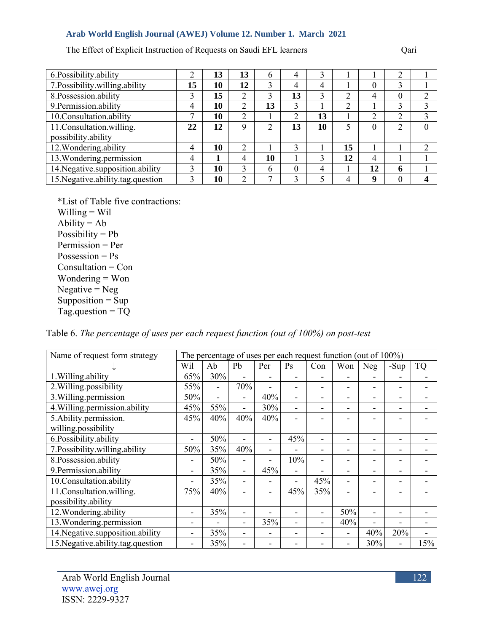The Effect of Explicit Instruction of Requests on Saudi EFL learners Qari

| 6. Possibility. ability             |    | 13 | 13 | h  | 4        |    |    |    | ∍ |          |
|-------------------------------------|----|----|----|----|----------|----|----|----|---|----------|
| 7. Possibility.willing.ability      | 15 | 10 | 12 |    | 4        | 4  |    |    | 3 |          |
| 8.Possession.ability                | 3  | 15 | ↑  | 3  | 13       | 3  | າ  | 4  | 0 | ◠        |
| 9. Permission. ability              | 4  | 10 | 2  | 13 | 3        |    | 2  |    | 3 | 3        |
| 10. Consultation. ability           | ⇁  | 10 | 2  |    | 2        | 13 |    | ◠  | 2 | 3        |
| 11. Consultation. willing.          | 22 | 12 | 9  |    | 13       | 10 |    |    | 2 | $\theta$ |
| possibility.ability                 |    |    |    |    |          |    |    |    |   |          |
| 12. Wondering. ability              | 4  | 10 | ↑  |    | 3        |    | 15 |    |   | ↑        |
| 13. Wondering. permission           | 4  |    | 4  | 10 |          | 3  | 12 | 4  |   |          |
| 14. Negative. supposition. ability  | 3  | 10 | 3  | 6  | $\Omega$ | 4  |    | 12 | 6 |          |
| 15. Negative. ability.tag. question | 3  | 10 | C  |    | 3        |    | 4  | q  | 0 | 4        |

\*List of Table five contractions: Willing = Wil Ability  $=$  Ab Possibility =  $Pb$ Permission = Per  $Possersion = Ps$ Consultation = Con Wondering = Won  $Negative = Neg$ Supposition  $=$  Sup Tag.question = TQ

Table 6. *The percentage of uses per each request function (out of 100%) on post-test*

| Name of request form strategy       |     |     |     | The percentage of uses per each request function (out of 100%) |     |     |     |     |        |           |
|-------------------------------------|-----|-----|-----|----------------------------------------------------------------|-----|-----|-----|-----|--------|-----------|
|                                     | Wil | Ab  | Pb  | Per                                                            | Ps  | Con | Won | Neg | $-Sup$ | <b>TQ</b> |
| 1. Willing ability                  | 65% | 30% | ۰   |                                                                |     |     |     |     |        |           |
| 2. Willing.possibility              | 55% |     | 70% |                                                                |     |     |     |     |        |           |
| 3. Willing. permission              | 50% | -   |     | 40%                                                            | -   |     |     |     |        |           |
| 4. Willing. permission. ability     | 45% | 55% | ۰   | 30%                                                            | Ξ.  |     |     |     |        |           |
| 5. Ability.permission.              | 45% | 40% | 40% | 40%                                                            |     |     |     |     |        |           |
| willing.possibility                 |     |     |     |                                                                |     |     |     |     |        |           |
| 6.Possibility.ability               | -   | 50% |     |                                                                | 45% |     |     |     |        |           |
| 7. Possibility.willing.ability      | 50% | 35% | 40% |                                                                |     |     |     |     |        |           |
| 8.Possession.ability                | -   | 50% | -   |                                                                | 10% | -   |     |     |        |           |
| 9. Permission. ability              | -   | 35% | ۰   | 45%                                                            | -   |     |     |     |        |           |
| 10. Consultation. ability           | -   | 35% | ۰   |                                                                | Ξ.  | 45% | Ξ.  |     |        |           |
| 11. Consultation. willing.          | 75% | 40% |     |                                                                | 45% | 35% |     |     |        |           |
| possibility.ability                 |     |     |     |                                                                |     |     |     |     |        |           |
| 12. Wondering.ability               |     | 35% |     |                                                                |     |     | 50% |     |        |           |
| 13. Wondering. permission           | -   |     | -   | 35%                                                            |     |     | 40% |     |        |           |
| 14. Negative.supposition.ability    | -   | 35% | -   |                                                                |     |     |     | 40% | 20%    |           |
| 15. Negative. ability.tag. question | -   | 35% |     |                                                                |     |     |     | 30% |        | 15%       |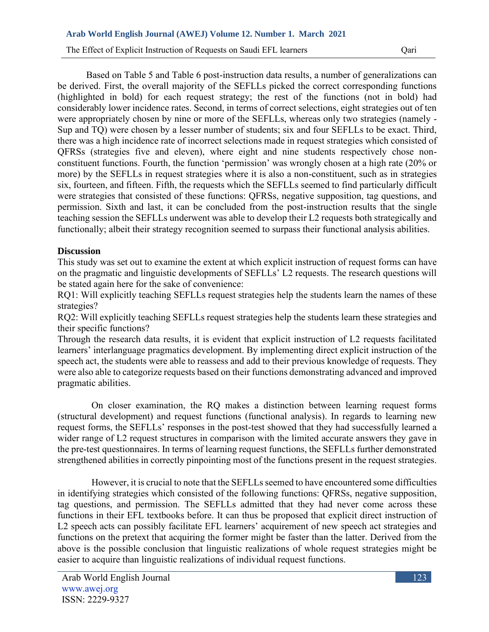The Effect of Explicit Instruction of Requests on Saudi EFL learners Qari

Based on Table 5 and Table 6 post-instruction data results, a number of generalizations can be derived. First, the overall majority of the SEFLLs picked the correct corresponding functions (highlighted in bold) for each request strategy; the rest of the functions (not in bold) had considerably lower incidence rates. Second, in terms of correct selections, eight strategies out of ten were appropriately chosen by nine or more of the SEFLLs, whereas only two strategies (namely - Sup and TO) were chosen by a lesser number of students; six and four SEFLLs to be exact. Third, there was a high incidence rate of incorrect selections made in request strategies which consisted of QFRSs (strategies five and eleven), where eight and nine students respectively chose nonconstituent functions. Fourth, the function 'permission' was wrongly chosen at a high rate (20% or more) by the SEFLLs in request strategies where it is also a non-constituent, such as in strategies six, fourteen, and fifteen. Fifth, the requests which the SEFLLs seemed to find particularly difficult were strategies that consisted of these functions: QFRSs, negative supposition, tag questions, and permission. Sixth and last, it can be concluded from the post-instruction results that the single teaching session the SEFLLs underwent was able to develop their L2 requests both strategically and functionally; albeit their strategy recognition seemed to surpass their functional analysis abilities.

### **Discussion**

This study was set out to examine the extent at which explicit instruction of request forms can have on the pragmatic and linguistic developments of SEFLLs' L2 requests. The research questions will be stated again here for the sake of convenience:

RO1: Will explicitly teaching SEFLLs request strategies help the students learn the names of these strategies?

RQ2: Will explicitly teaching SEFLLs request strategies help the students learn these strategies and their specific functions?

Through the research data results, it is evident that explicit instruction of L2 requests facilitated learners' interlanguage pragmatics development. By implementing direct explicit instruction of the speech act, the students were able to reassess and add to their previous knowledge of requests. They were also able to categorize requests based on their functions demonstrating advanced and improved pragmatic abilities.

On closer examination, the RQ makes a distinction between learning request forms (structural development) and request functions (functional analysis). In regards to learning new request forms, the SEFLLs' responses in the post-test showed that they had successfully learned a wider range of L2 request structures in comparison with the limited accurate answers they gave in the pre-test questionnaires. In terms of learning request functions, the SEFLLs further demonstrated strengthened abilities in correctly pinpointing most of the functions present in the request strategies.

However, it is crucial to note that the SEFLLs seemed to have encountered some difficulties in identifying strategies which consisted of the following functions: QFRSs, negative supposition, tag questions, and permission. The SEFLLs admitted that they had never come across these functions in their EFL textbooks before. It can thus be proposed that explicit direct instruction of L2 speech acts can possibly facilitate EFL learners' acquirement of new speech act strategies and functions on the pretext that acquiring the former might be faster than the latter. Derived from the above is the possible conclusion that linguistic realizations of whole request strategies might be easier to acquire than linguistic realizations of individual request functions.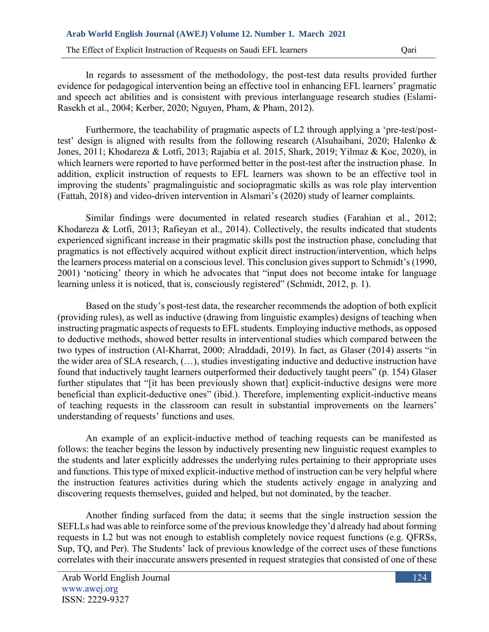The Effect of Explicit Instruction of Requests on Saudi EFL learners Cari

In regards to assessment of the methodology, the post-test data results provided further evidence for pedagogical intervention being an effective tool in enhancing EFL learners' pragmatic and speech act abilities and is consistent with previous interlanguage research studies (Eslami-Rasekh et al., 2004; Kerber, 2020; Nguyen, Pham, & Pham, 2012).

Furthermore, the teachability of pragmatic aspects of L2 through applying a 'pre-test/posttest' design is aligned with results from the following research (Alsuhaibani, 2020; Halenko & Jones, 2011; Khodareza & Lotfi, 2013; Rajabia et al. 2015, Shark, 2019; Yilmaz & Koc, 2020), in which learners were reported to have performed better in the post-test after the instruction phase. In addition, explicit instruction of requests to EFL learners was shown to be an effective tool in improving the students' pragmalinguistic and sociopragmatic skills as was role play intervention (Fattah, 2018) and video-driven intervention in Alsmari's (2020) study of learner complaints.

Similar findings were documented in related research studies (Farahian et al., 2012; Khodareza & Lotfi, 2013; Rafieyan et al., 2014). Collectively, the results indicated that students experienced significant increase in their pragmatic skills post the instruction phase, concluding that pragmatics is not effectively acquired without explicit direct instruction/intervention, which helps the learners process material on a conscious level. This conclusion gives support to Schmidt's (1990, 2001) 'noticing' theory in which he advocates that "input does not become intake for language learning unless it is noticed, that is, consciously registered" (Schmidt, 2012, p. 1).

Based on the study's post-test data, the researcher recommends the adoption of both explicit (providing rules), as well as inductive (drawing from linguistic examples) designs of teaching when instructing pragmatic aspects of requests to EFL students. Employing inductive methods, as opposed to deductive methods, showed better results in interventional studies which compared between the two types of instruction (Al-Kharrat, 2000; Alraddadi, 2019). In fact, as Glaser (2014) asserts "in the wider area of SLA research, (…), studies investigating inductive and deductive instruction have found that inductively taught learners outperformed their deductively taught peers" (p. 154) Glaser further stipulates that "[it has been previously shown that] explicit-inductive designs were more beneficial than explicit-deductive ones" (ibid.). Therefore, implementing explicit-inductive means of teaching requests in the classroom can result in substantial improvements on the learners' understanding of requests' functions and uses.

An example of an explicit-inductive method of teaching requests can be manifested as follows: the teacher begins the lesson by inductively presenting new linguistic request examples to the students and later explicitly addresses the underlying rules pertaining to their appropriate uses and functions. This type of mixed explicit-inductive method of instruction can be very helpful where the instruction features activities during which the students actively engage in analyzing and discovering requests themselves, guided and helped, but not dominated, by the teacher.

Another finding surfaced from the data; it seems that the single instruction session the SEFLLs had was able to reinforce some of the previous knowledge they'd already had about forming requests in L2 but was not enough to establish completely novice request functions (e.g. QFRSs, Sup, TQ, and Per). The Students' lack of previous knowledge of the correct uses of these functions correlates with their inaccurate answers presented in request strategies that consisted of one of these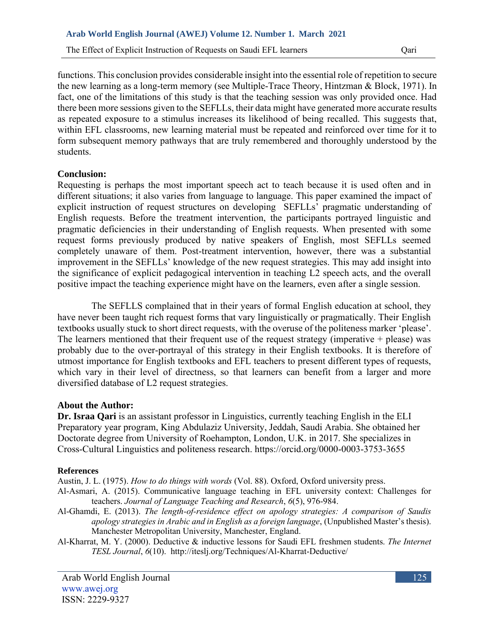The Effect of Explicit Instruction of Requests on Saudi EFL learners Qari

functions. This conclusion provides considerable insight into the essential role of repetition to secure the new learning as a long-term memory (see Multiple-Trace Theory, Hintzman & Block, 1971). In fact, one of the limitations of this study is that the teaching session was only provided once. Had there been more sessions given to the SEFLLs, their data might have generated more accurate results as repeated exposure to a stimulus increases its likelihood of being recalled. This suggests that, within EFL classrooms, new learning material must be repeated and reinforced over time for it to form subsequent memory pathways that are truly remembered and thoroughly understood by the students.

### **Conclusion:**

Requesting is perhaps the most important speech act to teach because it is used often and in different situations; it also varies from language to language. This paper examined the impact of explicit instruction of request structures on developing SEFLLs' pragmatic understanding of English requests. Before the treatment intervention, the participants portrayed linguistic and pragmatic deficiencies in their understanding of English requests. When presented with some request forms previously produced by native speakers of English, most SEFLLs seemed completely unaware of them. Post-treatment intervention, however, there was a substantial improvement in the SEFLLs' knowledge of the new request strategies. This may add insight into the significance of explicit pedagogical intervention in teaching L2 speech acts, and the overall positive impact the teaching experience might have on the learners, even after a single session.

The SEFLLS complained that in their years of formal English education at school, they have never been taught rich request forms that vary linguistically or pragmatically. Their English textbooks usually stuck to short direct requests, with the overuse of the politeness marker 'please'. The learners mentioned that their frequent use of the request strategy (imperative  $+$  please) was probably due to the over-portrayal of this strategy in their English textbooks. It is therefore of utmost importance for English textbooks and EFL teachers to present different types of requests, which vary in their level of directness, so that learners can benefit from a larger and more diversified database of L2 request strategies.

## **About the Author:**

**Dr. Israa Qari** is an assistant professor in Linguistics, currently teaching English in the ELI Preparatory year program, King Abdulaziz University, Jeddah, Saudi Arabia. She obtained her Doctorate degree from University of Roehampton, London, U.K. in 2017. She specializes in Cross-Cultural Linguistics and politeness research. https://orcid.org/0000-0003-3753-3655

### **References**

Austin, J. L. (1975). *How to do things with words* (Vol. 88). Oxford, Oxford university press.

- Al-Asmari, A. (2015). Communicative language teaching in EFL university context: Challenges for teachers. *Journal of Language Teaching and Research*, *6*(5), 976-984.
- Al-Ghamdi, E. (2013). *The length-of-residence effect on apology strategies: A comparison of Saudis apology strategies in Arabic and in English as a foreign language*, (Unpublished Master's thesis). Manchester Metropolitan University, Manchester, England.
- Al-Kharrat, M. Y. (2000). Deductive & inductive lessons for Saudi EFL freshmen students. *The Internet TESL Journal*, *6*(10). http://iteslj.org/Techniques/Al-Kharrat-Deductive/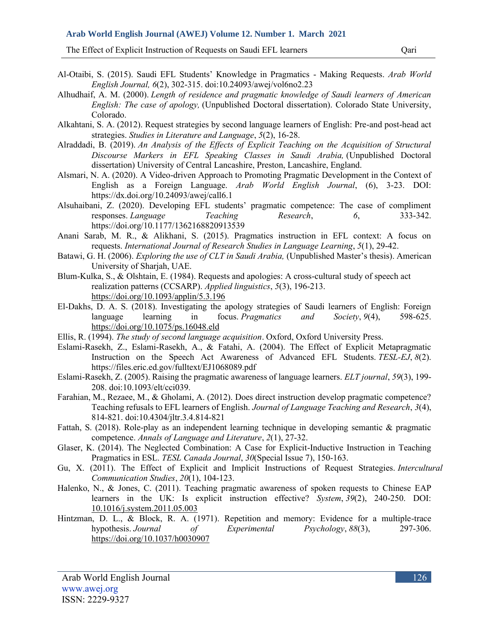The Effect of Explicit Instruction of Requests on Saudi EFL learners Cari

- Al-Otaibi, S. (2015). Saudi EFL Students' Knowledge in Pragmatics Making Requests. *Arab World English Journal, 6*(2), 302-315. doi:10.24093/awej/vol6no2.23
- Alhudhaif, A. M. (2000). *Length of residence and pragmatic knowledge of Saudi learners of American English: The case of apology,* (Unpublished Doctoral dissertation). Colorado State University, Colorado.
- Alkahtani, S. A. (2012). Request strategies by second language learners of English: Pre-and post-head act strategies. *Studies in Literature and Language*, *5*(2), 16-28.
- Alraddadi, B. (2019). *An Analysis of the Effects of Explicit Teaching on the Acquisition of Structural Discourse Markers in EFL Speaking Classes in Saudi Arabia,* (Unpublished Doctoral dissertation) University of Central Lancashire, Preston, Lancashire, England.
- Alsmari, N. A. (2020). A Video-driven Approach to Promoting Pragmatic Development in the Context of English as a Foreign Language. *Arab World English Journal*, (6), 3-23. DOI: https://dx.doi.org/10.24093/awej/call6.1
- Alsuhaibani, Z. (2020). Developing EFL students' pragmatic competence: The case of compliment responses. *Language Teaching Research*, *6*, 333-342. [https://doi.org/10.1177/1362168820913539](about:blank)
- Anani Sarab, M. R., & Alikhani, S. (2015). Pragmatics instruction in EFL context: A focus on requests. *International Journal of Research Studies in Language Learning*, *5*(1), 29-42.
- Batawi, G. H. (2006). *Exploring the use of CLT in Saudi Arabia,* (Unpublished Master's thesis). American University of Sharjah, UAE.
- Blum-Kulka, S., & Olshtain, E. (1984). Requests and apologies: A cross-cultural study of speech act realization patterns (CCSARP). *Applied linguistics*, *5*(3), 196-213. https://doi.org/10.1093/applin/5.3.196
- El-Dakhs, D. A. S. (2018). Investigating the apology strategies of Saudi learners of English: Foreign language learning in focus. *Pragmatics and Society*, *9*(4), 598-625. [https://doi.org/10.1075/ps.16048.eld](about:blank)
- Ellis, R. (1994). *The study of second language acquisition*. Oxford, Oxford University Press.
- Eslami-Rasekh, Z., Eslami-Rasekh, A., & Fatahi, A. (2004). The Effect of Explicit Metapragmatic Instruction on the Speech Act Awareness of Advanced EFL Students. *TESL-EJ*, *8*(2). https://files.eric.ed.gov/fulltext/EJ1068089.pdf
- Eslami-Rasekh, Z. (2005). Raising the pragmatic awareness of language learners. *ELT journal*, *59*(3), 199- 208. doi:10.1093/elt/cci039.
- Farahian, M., Rezaee, M., & Gholami, A. (2012). Does direct instruction develop pragmatic competence? Teaching refusals to EFL learners of English. *Journal of Language Teaching and Research*, *3*(4), 814-821. doi:10.4304/jltr.3.4.814-821
- Fattah, S. (2018). Role-play as an independent learning technique in developing semantic & pragmatic competence. *Annals of Language and Literature*, *2*(1), 27-32.
- Glaser, K. (2014). The Neglected Combination: A Case for Explicit-Inductive Instruction in Teaching Pragmatics in ESL. *TESL Canada Journal*, *30*(Special Issue 7), 150-163.
- Gu, X. (2011). The Effect of Explicit and Implicit Instructions of Request Strategies. *Intercultural Communication Studies*, *20*(1), 104-123.
- Halenko, N., & Jones, C. (2011). Teaching pragmatic awareness of spoken requests to Chinese EAP learners in the UK: Is explicit instruction effective? *System*, *39*(2), 240-250. DOI: [10.1016/j.system.2011.05.003](about:blank)
- Hintzman, D. L., & Block, R. A. (1971). Repetition and memory: Evidence for a multiple-trace hypothesis. Journal of Experimental Psychology, 88(3), 297-306. hypothesis. *Journal of Experimental Psychology*, *88*(3), 297-306. [https://doi.org/10.1037/h0030907](about:blank)